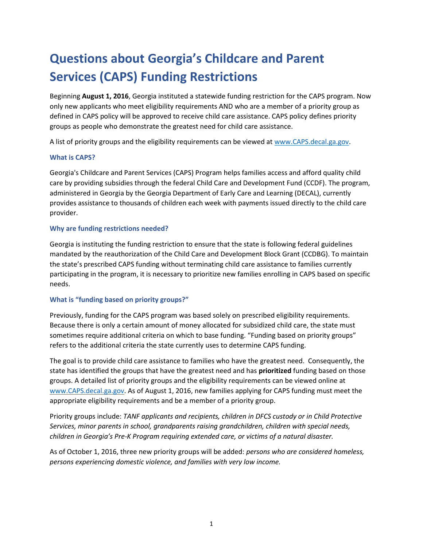# **Questions about Georgia's Childcare and Parent Services (CAPS) Funding Restrictions**

Beginning **August 1, 2016**, Georgia instituted a statewide funding restriction for the CAPS program. Now only new applicants who meet eligibility requirements AND who are a member of a priority group as defined in CAPS policy will be approved to receive child care assistance. CAPS policy defines priority groups as people who demonstrate the greatest need for child care assistance.

A list of priority groups and the eligibility requirements can be viewed at [www.CAPS.decal.ga.gov.](http://www.caps.decal.ga.gov/)

#### **What is CAPS?**

Georgia's Childcare and Parent Services (CAPS) Program helps families access and afford quality child care by providing subsidies through the federal Child Care and Development Fund (CCDF). The program, administered in Georgia by the Georgia Department of Early Care and Learning (DECAL), currently provides assistance to thousands of children each week with payments issued directly to the child care provider.

#### **Why are funding restrictions needed?**

Georgia is instituting the funding restriction to ensure that the state is following federal guidelines mandated by the reauthorization of the Child Care and Development Block Grant (CCDBG). To maintain the state's prescribed CAPS funding without terminating child care assistance to families currently participating in the program, it is necessary to prioritize new families enrolling in CAPS based on specific needs.

### **What is "funding based on priority groups?"**

Previously, funding for the CAPS program was based solely on prescribed eligibility requirements. Because there is only a certain amount of money allocated for subsidized child care, the state must sometimes require additional criteria on which to base funding. "Funding based on priority groups" refers to the additional criteria the state currently uses to determine CAPS funding.

The goal is to provide child care assistance to families who have the greatest need. Consequently, the state has identified the groups that have the greatest need and has **prioritized** funding based on those groups. A detailed list of priority groups and the eligibility requirements can be viewed online at [www.CAPS.decal.ga.gov.](http://www.caps.decal.ga.gov/) As of August 1, 2016, new families applying for CAPS funding must meet the appropriate eligibility requirements and be a member of a priority group.

Priority groups include: *TANF applicants and recipients, children in DFCS custody or in Child Protective Services, minor parents in school, grandparents raising grandchildren, children with special needs, children in Georgia's Pre-K Program requiring extended care, or victims of a natural disaster.*

As of October 1, 2016, three new priority groups will be added: *persons who are considered homeless, persons experiencing domestic violence, and families with very low income.*